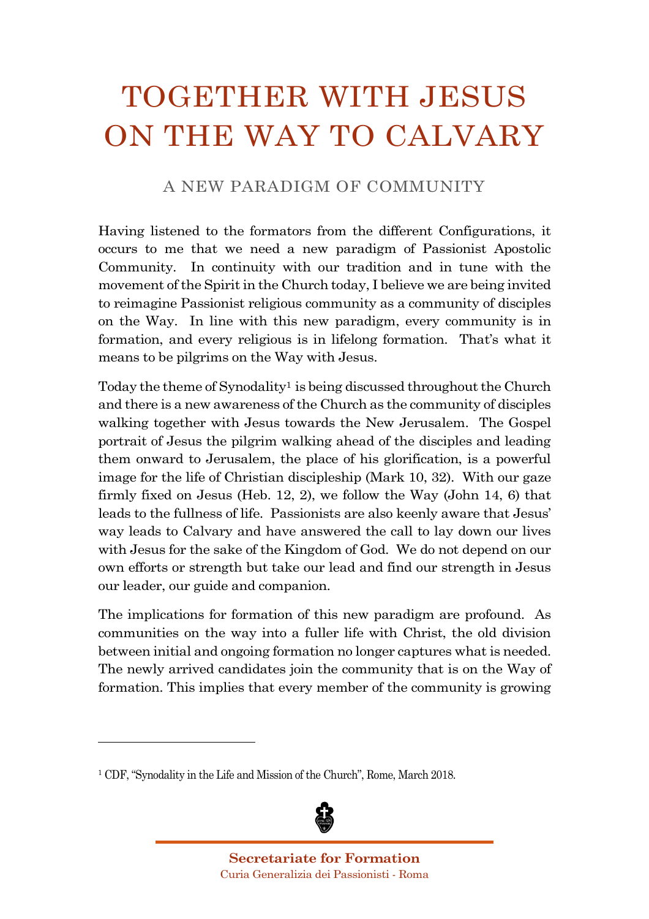## TOGETHER WITH JESUS ON THE WAY TO CALVARY

## A NEW PARADIGM OF COMMUNITY

Having listened to the formators from the different Configurations, it occurs to me that we need a new paradigm of Passionist Apostolic Community. In continuity with our tradition and in tune with the movement of the Spirit in the Church today, I believe we are being invited to reimagine Passionist religious community as a community of disciples on the Way. In line with this new paradigm, every community is in formation, and every religious is in lifelong formation. That's what it means to be pilgrims on the Way with Jesus.

Today the theme of Synodality<sup>1</sup> is being discussed throughout the Church and there is a new awareness of the Church as the community of disciples walking together with Jesus towards the New Jerusalem. The Gospel portrait of Jesus the pilgrim walking ahead of the disciples and leading them onward to Jerusalem, the place of his glorification, is a powerful image for the life of Christian discipleship (Mark 10, 32). With our gaze firmly fixed on Jesus (Heb. 12, 2), we follow the Way (John 14, 6) that leads to the fullness of life. Passionists are also keenly aware that Jesus' way leads to Calvary and have answered the call to lay down our lives with Jesus for the sake of the Kingdom of God. We do not depend on our own efforts or strength but take our lead and find our strength in Jesus our leader, our guide and companion.

The implications for formation of this new paradigm are profound. As communities on the way into a fuller life with Christ, the old division between initial and ongoing formation no longer captures what is needed. The newly arrived candidates join the community that is on the Way of formation. This implies that every member of the community is growing

<sup>1</sup> CDF, "Synodality in the Life and Mission of the Church", Rome, March 2018.

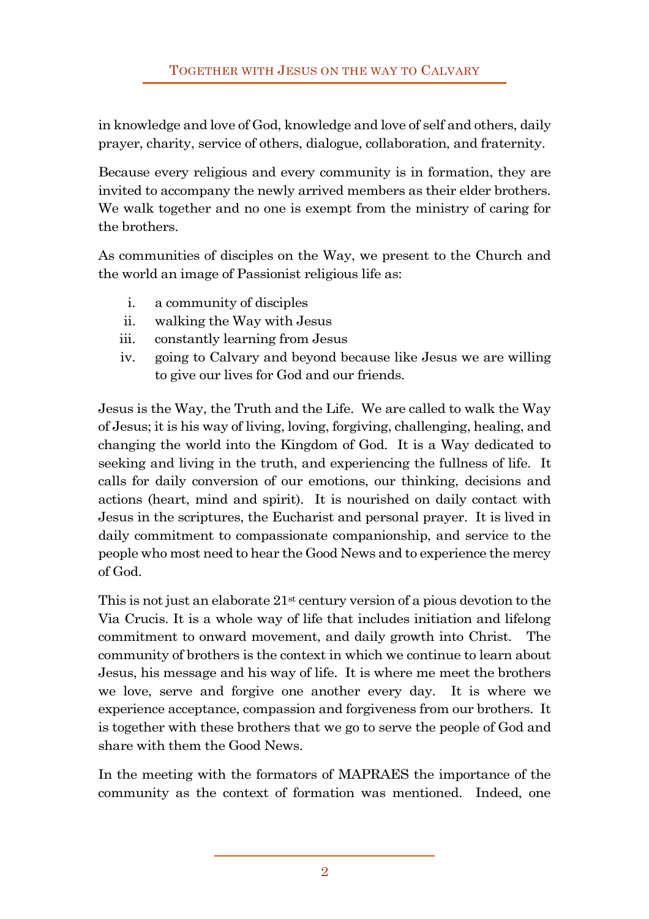in knowledge and love of God, knowledge and love of self and others, daily prayer, charity, service of others, dialogue, collaboration, and fraternity.

Because every religious and every community is in formation, they are invited to accompany the newly arrived members as their elder brothers. We walk together and no one is exempt from the ministry of caring for the brothers.

As communities of disciples on the Way, we present to the Church and the world an image of Passionist religious life as:

- i. a community of disciples
- ii. walking the Way with Jesus
- iii. constantly learning from Jesus
- iv. going to Calvary and beyond because like Jesus we are willing to give our lives for God and our friends.

Jesus is the Way, the Truth and the Life. We are called to walk the Way of Jesus; it is his way of living, loving, forgiving, challenging, healing, and changing the world into the Kingdom of God. It is a Way dedicated to seeking and living in the truth, and experiencing the fullness of life. It calls for daily conversion of our emotions, our thinking, decisions and actions (heart, mind and spirit). It is nourished on daily contact with Jesus in the scriptures, the Eucharist and personal prayer. It is lived in daily commitment to compassionate companionship, and service to the people who most need to hear the Good News and to experience the mercy of God.

This is not just an elaborate 21st century version of a pious devotion to the Via Crucis. It is a whole way of life that includes initiation and lifelong commitment to onward movement, and daily growth into Christ. The community of brothers is the context in which we continue to learn about Jesus, his message and his way of life. It is where me meet the brothers we love, serve and forgive one another every day. It is where we experience acceptance, compassion and forgiveness from our brothers. It is together with these brothers that we go to serve the people of God and share with them the Good News.

In the meeting with the formators of MAPRAES the importance of the community as the context of formation was mentioned. Indeed, one